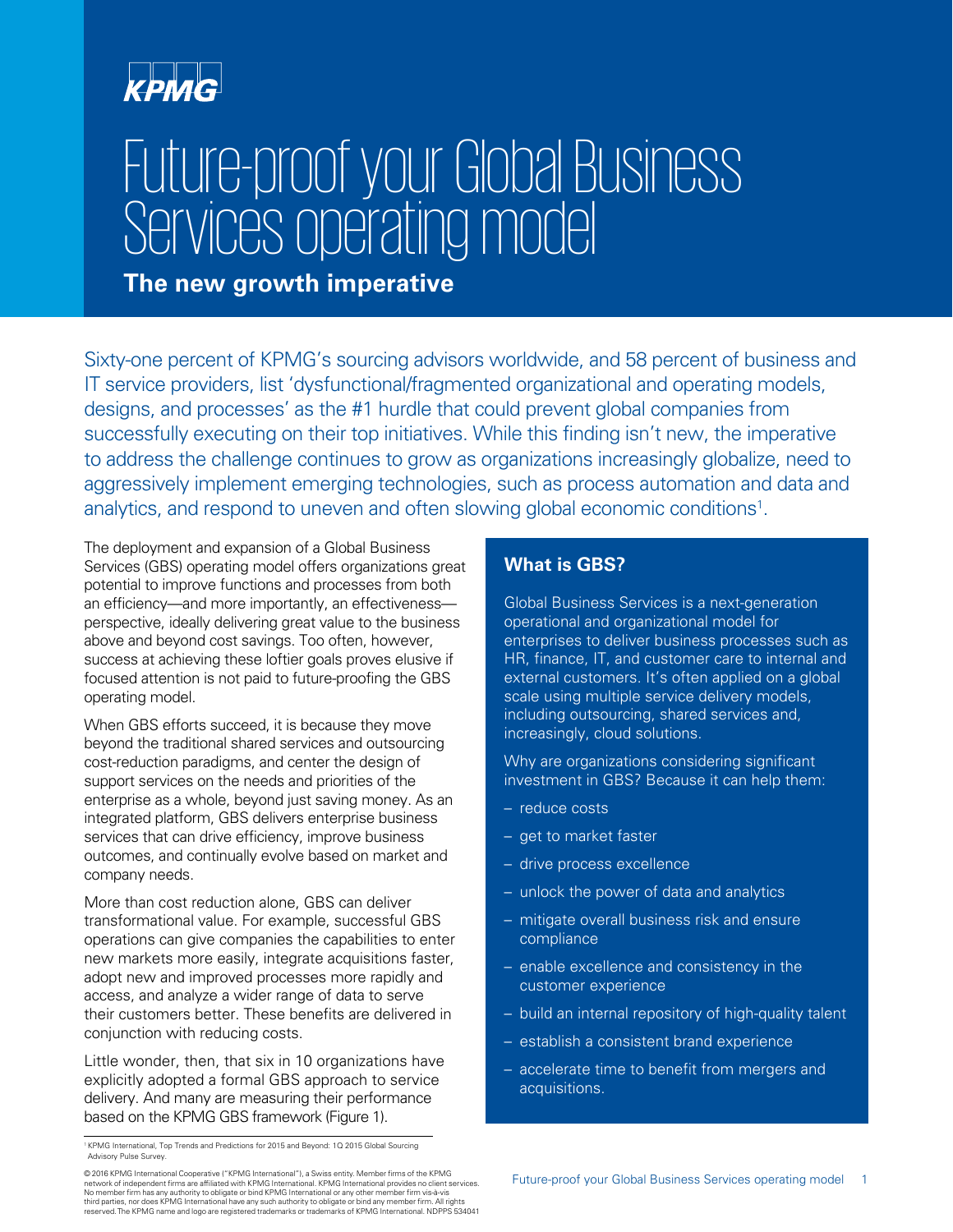# **KPMG**

# Future-proof your Global Business Services operating model

#### **The new growth imperative**

Sixty-one percent of KPMG's sourcing advisors worldwide, and 58 percent of business and IT service providers, list 'dysfunctional/fragmented organizational and operating models, designs, and processes' as the #1 hurdle that could prevent global companies from successfully executing on their top initiatives. While this finding isn't new, the imperative to address the challenge continues to grow as organizations increasingly globalize, need to aggressively implement emerging technologies, such as process automation and data and analytics, and respond to uneven and often slowing global economic conditions<sup>1</sup>.

The deployment and expansion of a Global Business Services (GBS) operating model offers organizations great potential to improve functions and processes from both an efficiency—and more importantly, an effectiveness perspective, ideally delivering great value to the business above and beyond cost savings. Too often, however, success at achieving these loftier goals proves elusive if focused attention is not paid to future-proofing the GBS operating model.

When GBS efforts succeed, it is because they move beyond the traditional shared services and outsourcing cost-reduction paradigms, and center the design of support services on the needs and priorities of the enterprise as a whole, beyond just saving money. As an integrated platform, GBS delivers enterprise business services that can drive efficiency, improve business outcomes, and continually evolve based on market and company needs.

More than cost reduction alone, GBS can deliver transformational value. For example, successful GBS operations can give companies the capabilities to enter new markets more easily, integrate acquisitions faster, adopt new and improved processes more rapidly and access, and analyze a wider range of data to serve their customers better. These benefits are delivered in conjunction with reducing costs.

Little wonder, then, that six in 10 organizations have explicitly adopted a formal GBS approach to service delivery. And many are measuring their performance based on the KPMG GBS framework (Figure 1).

#### **What is GBS?**

Global Business Services is a next-generation operational and organizational model for enterprises to deliver business processes such as HR, finance, IT, and customer care to internal and external customers. It's often applied on a global scale using multiple service delivery models, including outsourcing, shared services and, increasingly, cloud solutions.

Why are organizations considering significant investment in GBS? Because it can help them:

- reduce costs
- get to market faster
- drive process excellence
- unlock the power of data and analytics
- mitigate overall business risk and ensure compliance
- enable excellence and consistency in the customer experience
- build an internal repository of high-quality talent
- establish a consistent brand experience
- accelerate time to benefit from mergers and acquisitions.

<sup>1</sup> KPMG International, Top Trends and Predictions for 2015 and Beyond: 1Q 2015 Global Sourcing Advisory Pulse Survey.

<sup>© 2016</sup> KPMG International Cooperative ("KPMG International"), a Swiss entity. Member firms of the KPMG<br>network of independent firms are affiliated with KPMG International. KPMG International provides no client services. No member firm has any authority to obligate or bind KPMG International or any other member firm vis-à-vis<br>third parties, nor does KPMG International have any such authority to obligate or bind any member firm. All rights<br>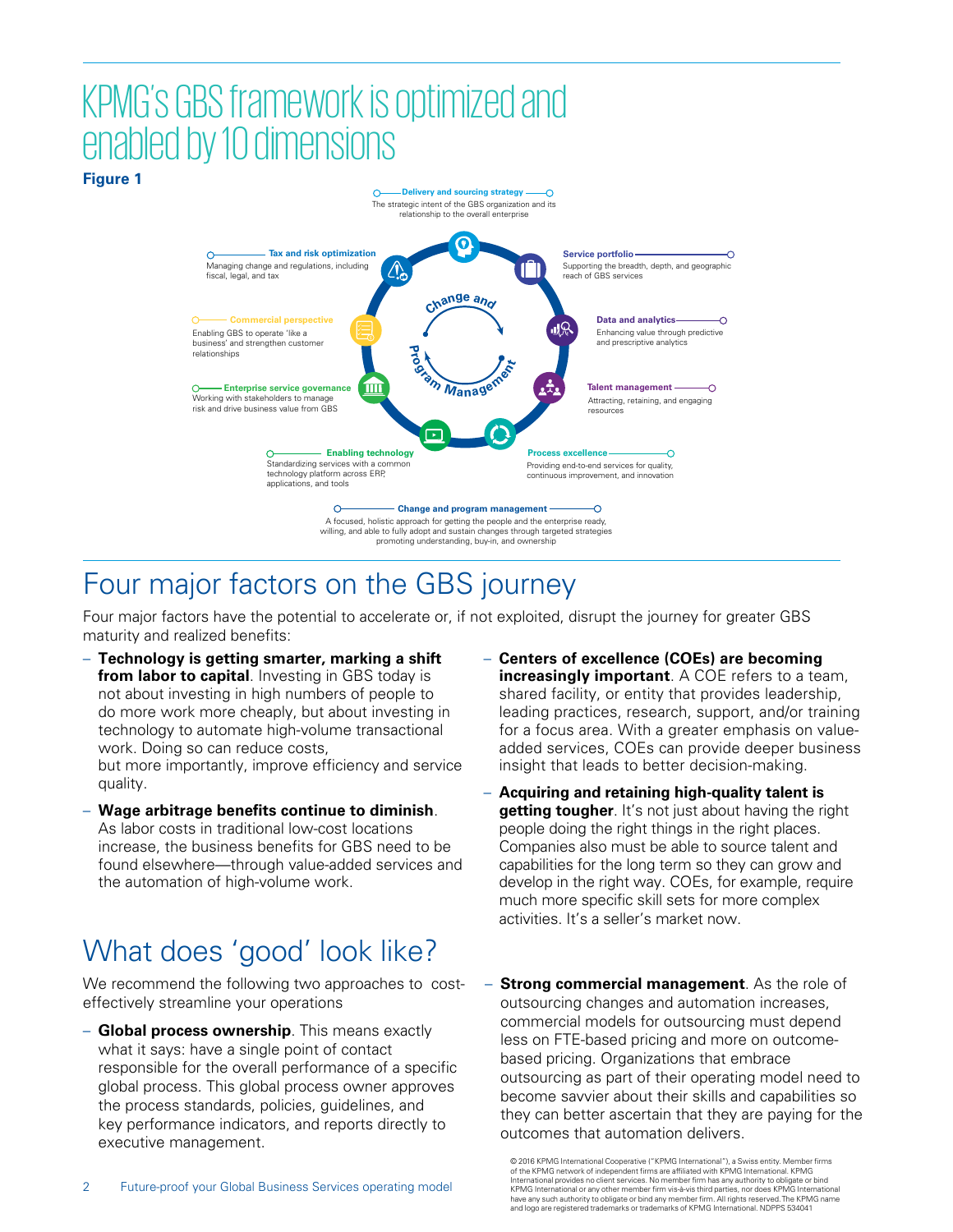## KPMG's GBS framework is optimized and enabled by 10 dimensions



#### Four major factors on the GBS journey

Four major factors have the potential to accelerate or, if not exploited, disrupt the journey for greater GBS maturity and realized benefits:

- **Technology is getting smarter, marking a shift from labor to capital**. Investing in GBS today is not about investing in high numbers of people to do more work more cheaply, but about investing in technology to automate high-volume transactional work. Doing so can reduce costs, but more importantly, improve efficiency and service quality.
- **Wage arbitrage benefits continue to diminish**. As labor costs in traditional low-cost locations increase, the business benefits for GBS need to be found elsewhere—through value-added services and the automation of high-volume work.

## What does 'good' look like?

We recommend the following two approaches to costeffectively streamline your operations

– **Global process ownership**. This means exactly what it says: have a single point of contact responsible for the overall performance of a specific global process. This global process owner approves the process standards, policies, guidelines, and key performance indicators, and reports directly to executive management.

- **Centers of excellence (COEs) are becoming increasingly important**. A COE refers to a team, shared facility, or entity that provides leadership, leading practices, research, support, and/or training for a focus area. With a greater emphasis on valueadded services, COEs can provide deeper business insight that leads to better decision-making.
- **Acquiring and retaining high-quality talent is getting tougher**. It's not just about having the right people doing the right things in the right places. Companies also must be able to source talent and capabilities for the long term so they can grow and develop in the right way. COEs, for example, require much more specific skill sets for more complex activities. It's a seller's market now.
- **Strong commercial management**. As the role of outsourcing changes and automation increases, commercial models for outsourcing must depend less on FTE-based pricing and more on outcomebased pricing. Organizations that embrace outsourcing as part of their operating model need to become savvier about their skills and capabilities so they can better ascertain that they are paying for the outcomes that automation delivers.

<sup>© 2016</sup> KPMG International Cooperative ("KPMG International"), a Swiss entity. Member firms of the KPMG network of independent firms are affiliated with KPMG International. KPMG International provides no client services. No member firm has any authority to obligate or bind KPMG International or any other member firm vis-à-vis third parties, nor does KPMG International<br>have any such authority to obligate or bind any member firm. All rights reserved. The KPMG name<br>and logo are registered trade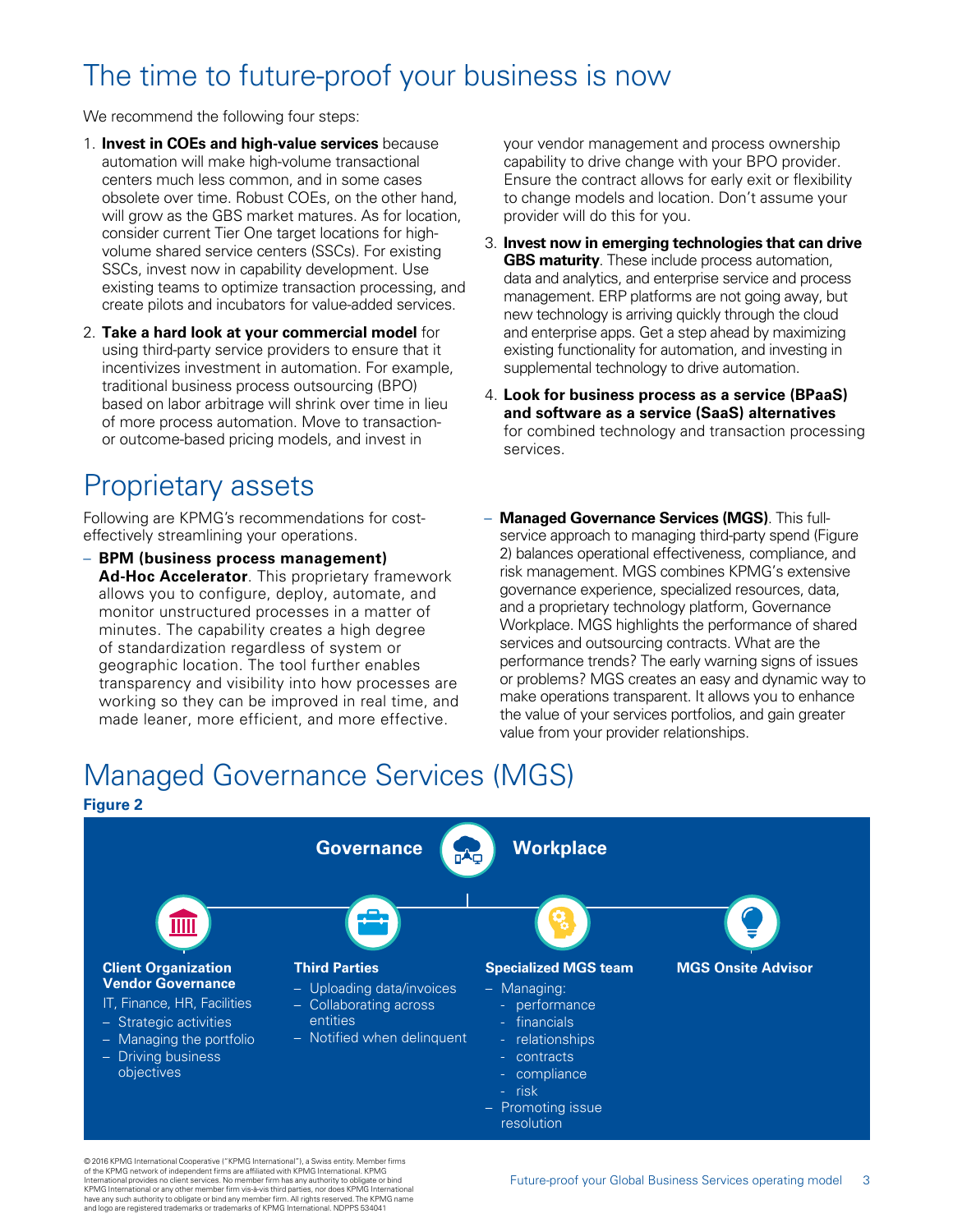#### The time to future-proof your business is now

We recommend the following four steps:

- 1. **Invest in COEs and high-value services** because automation will make high-volume transactional centers much less common, and in some cases obsolete over time. Robust COEs, on the other hand, will grow as the GBS market matures. As for location, consider current Tier One target locations for highvolume shared service centers (SSCs). For existing SSCs, invest now in capability development. Use existing teams to optimize transaction processing, and create pilots and incubators for value-added services.
- 2. **Take a hard look at your commercial model** for using third-party service providers to ensure that it incentivizes investment in automation. For example, traditional business process outsourcing (BPO) based on labor arbitrage will shrink over time in lieu of more process automation. Move to transactionor outcome-based pricing models, and invest in

#### Proprietary assets

Following are KPMG's recommendations for costeffectively streamlining your operations.

– **BPM (business process management) Ad-Hoc Accelerator**. This proprietary framework allows you to configure, deploy, automate, and monitor unstructured processes in a matter of minutes. The capability creates a high degree of standardization regardless of system or geographic location. The tool further enables transparency and visibility into how processes are working so they can be improved in real time, and made leaner, more efficient, and more effective.

your vendor management and process ownership capability to drive change with your BPO provider. Ensure the contract allows for early exit or flexibility to change models and location. Don't assume your provider will do this for you.

- 3. **Invest now in emerging technologies that can drive GBS maturity**. These include process automation, data and analytics, and enterprise service and process management. ERP platforms are not going away, but new technology is arriving quickly through the cloud and enterprise apps. Get a step ahead by maximizing existing functionality for automation, and investing in supplemental technology to drive automation.
- 4. **Look for business process as a service (BPaaS) and software as a service (SaaS) alternatives** for combined technology and transaction processing services.
- **Managed Governance Services (MGS)**. This fullservice approach to managing third-party spend (Figure 2) balances operational effectiveness, compliance, and risk management. MGS combines KPMG's extensive governance experience, specialized resources, data, and a proprietary technology platform, Governance Workplace. MGS highlights the performance of shared services and outsourcing contracts. What are the performance trends? The early warning signs of issues or problems? MGS creates an easy and dynamic way to make operations transparent. It allows you to enhance the value of your services portfolios, and gain greater value from your provider relationships.

## Managed Governance Services (MGS)



© 2016 KPMG International Cooperative ("KPMG International"), a Swiss entity. Member firms of the KPMG network of independent firms are affiliated with KPMG International. KPMG International provides no client services. No member firm has any authority to obligate or bind KPMG International or any other member firm vis-à-vis third parties, nor does KPMG International<br>have any such authority to obligate or bind any member firm. All rights reserved. The KPMG name<br>and logo are registered trade